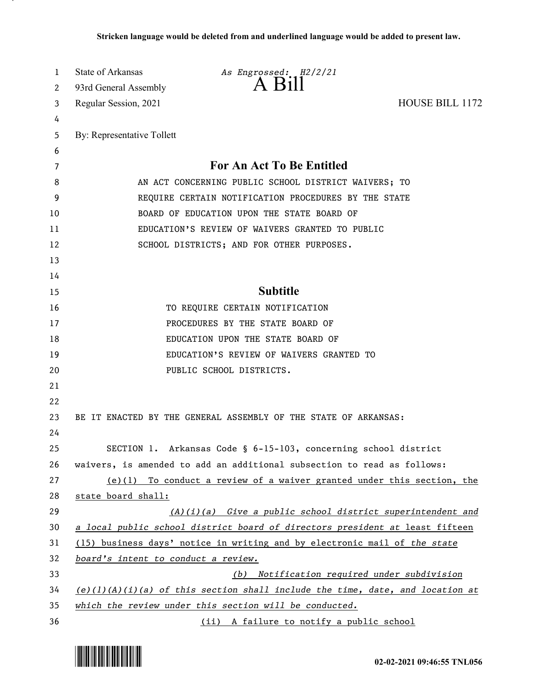| 1  | <b>State of Arkansas</b>                                                  | As Engrossed: H2/2/21                                                           |                        |
|----|---------------------------------------------------------------------------|---------------------------------------------------------------------------------|------------------------|
| 2  | 93rd General Assembly                                                     | A Bill                                                                          |                        |
| 3  | Regular Session, 2021                                                     |                                                                                 | <b>HOUSE BILL 1172</b> |
| 4  |                                                                           |                                                                                 |                        |
| 5  | By: Representative Tollett                                                |                                                                                 |                        |
| 6  |                                                                           |                                                                                 |                        |
| 7  |                                                                           | <b>For An Act To Be Entitled</b>                                                |                        |
| 8  | AN ACT CONCERNING PUBLIC SCHOOL DISTRICT WAIVERS; TO                      |                                                                                 |                        |
| 9  | REQUIRE CERTAIN NOTIFICATION PROCEDURES BY THE STATE                      |                                                                                 |                        |
| 10 | BOARD OF EDUCATION UPON THE STATE BOARD OF                                |                                                                                 |                        |
| 11 | EDUCATION'S REVIEW OF WAIVERS GRANTED TO PUBLIC                           |                                                                                 |                        |
| 12 |                                                                           | SCHOOL DISTRICTS; AND FOR OTHER PURPOSES.                                       |                        |
| 13 |                                                                           |                                                                                 |                        |
| 14 |                                                                           |                                                                                 |                        |
| 15 |                                                                           | <b>Subtitle</b>                                                                 |                        |
| 16 |                                                                           | TO REQUIRE CERTAIN NOTIFICATION                                                 |                        |
| 17 |                                                                           | PROCEDURES BY THE STATE BOARD OF                                                |                        |
| 18 |                                                                           | EDUCATION UPON THE STATE BOARD OF                                               |                        |
| 19 |                                                                           | EDUCATION'S REVIEW OF WAIVERS GRANTED TO                                        |                        |
| 20 |                                                                           | PUBLIC SCHOOL DISTRICTS.                                                        |                        |
| 21 |                                                                           |                                                                                 |                        |
| 22 |                                                                           |                                                                                 |                        |
| 23 |                                                                           | BE IT ENACTED BY THE GENERAL ASSEMBLY OF THE STATE OF ARKANSAS:                 |                        |
| 24 |                                                                           |                                                                                 |                        |
| 25 |                                                                           | SECTION 1. Arkansas Code § 6-15-103, concerning school district                 |                        |
| 26 |                                                                           | waivers, is amended to add an additional subsection to read as follows:         |                        |
| 27 |                                                                           | $(e)(1)$ To conduct a review of a waiver granted under this section, the        |                        |
| 28 | state board shall:                                                        |                                                                                 |                        |
| 29 |                                                                           | $(A)(i)(a)$ Give a public school district superintendent and                    |                        |
| 30 |                                                                           | a local public school district board of directors president at least fifteen    |                        |
| 31 | (15) business days' notice in writing and by electronic mail of the state |                                                                                 |                        |
| 32 | board's intent to conduct a review.                                       |                                                                                 |                        |
| 33 |                                                                           | Notification required under subdivision<br>(b)                                  |                        |
| 34 |                                                                           | $(e)(1)(A)(i)(a)$ of this section shall include the time, date, and location at |                        |
| 35 | which the review under this section will be conducted.                    |                                                                                 |                        |
| 36 |                                                                           | (ii) A failure to notify a public school                                        |                        |